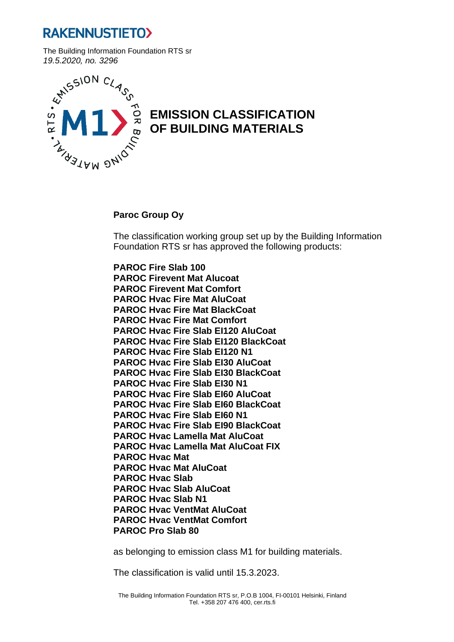## **RAKENNUSTIETO>**

The Building Information Foundation RTS sr



## **EMISSION CLASSIFICATION OF BUILDING MATERIALS**

## **Paroc Group Oy**

The classification working group set up by the Building Information Foundation RTS sr has approved the following products:

**PAROC Fire Slab 100 PAROC Firevent Mat Alucoat PAROC Firevent Mat Comfort PAROC Hvac Fire Mat AluCoat PAROC Hvac Fire Mat BlackCoat PAROC Hvac Fire Mat Comfort PAROC Hvac Fire Slab EI120 AluCoat PAROC Hvac Fire Slab EI120 BlackCoat PAROC Hvac Fire Slab EI120 N1 PAROC Hvac Fire Slab EI30 AluCoat PAROC Hvac Fire Slab EI30 BlackCoat PAROC Hvac Fire Slab EI30 N1 PAROC Hvac Fire Slab EI60 AluCoat PAROC Hvac Fire Slab EI60 BlackCoat PAROC Hvac Fire Slab EI60 N1 PAROC Hvac Fire Slab EI90 BlackCoat PAROC Hvac Lamella Mat AluCoat PAROC Hvac Lamella Mat AluCoat FIX PAROC Hvac Mat PAROC Hvac Mat AluCoat PAROC Hvac Slab PAROC Hvac Slab AluCoat PAROC Hvac Slab N1 PAROC Hvac VentMat AluCoat PAROC Hvac VentMat Comfort PAROC Pro Slab 80**

as belonging to emission class M1 for building materials.

The classification is valid until 15.3.2023.